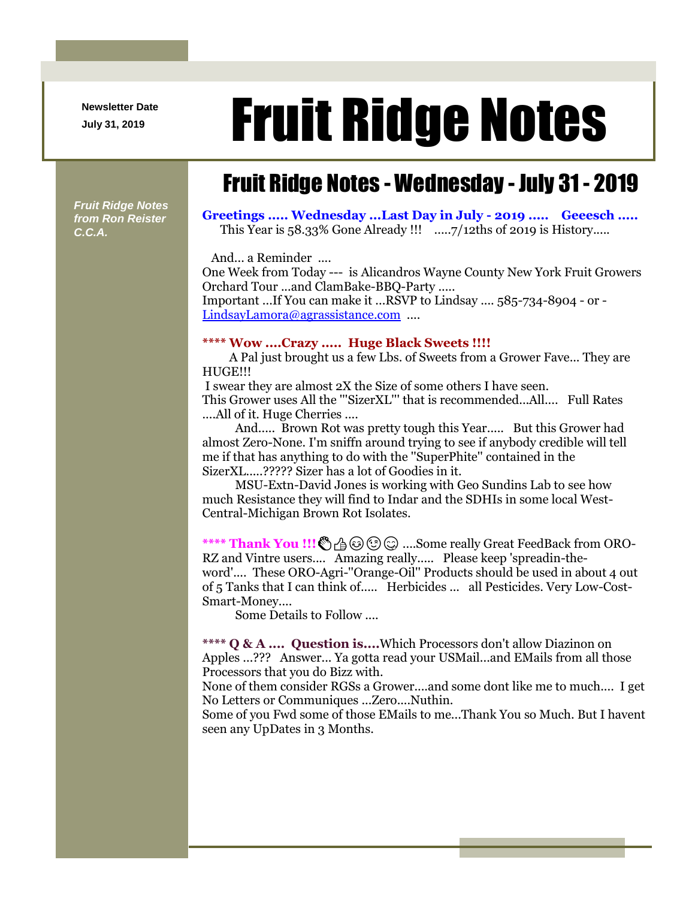**Newsletter Date**

## Newsletter Date **Fruit Ridge Notes**

## Fruit Ridge Notes - Wednesday - July 31 - 2019

*Fruit Ridge Notes from Ron Reister C.C.A.*

**Greetings ..... Wednesday ...Last Day in July - 2019 ..... Geeesch .....** This Year is 58.33% Gone Already !!! ......7/12ths of 2019 is History.....

And... a Reminder ....

One Week from Today --- is Alicandros Wayne County New York Fruit Growers Orchard Tour ...and ClamBake-BBQ-Party .....

Important ...If You can make it ...RSVP to Lindsay .... 585-734-8904 - or - [LindsayLamora@agrassistance.com](mailto:LindsayLamora@agrassistance.com) ....

## **\*\*\*\* Wow ....Crazy ..... Huge Black Sweets !!!!**

A Pal just brought us a few Lbs. of Sweets from a Grower Fave... They are HUGE!!!

I swear they are almost 2X the Size of some others I have seen. This Grower uses All the "'SizerXL'" that is recommended...All.... Full Rates

....All of it. Huge Cherries ....

And..... Brown Rot was pretty tough this Year..... But this Grower had almost Zero-None. I'm sniffn around trying to see if anybody credible will tell me if that has anything to do with the ''SuperPhite'' contained in the SizerXL.....????? Sizer has a lot of Goodies in it.

MSU-Extn-David Jones is working with Geo Sundins Lab to see how much Resistance they will find to Indar and the SDHIs in some local West-Central-Michigan Brown Rot Isolates.

**\*\*\*\* Thank You !!! @ @ @ @ ....Some really Great FeedBack from ORO-**RZ and Vintre users.... Amazing really..... Please keep 'spreadin-theword'.... These ORO-Agri-''Orange-Oil'' Products should be used in about 4 out of 5 Tanks that I can think of..... Herbicides ... all Pesticides. Very Low-Cost-Smart-Money....

Some Details to Follow ....

**\*\*\*\* Q & A .... Question is....**Which Processors don't allow Diazinon on Apples ...??? Answer... Ya gotta read your USMail...and EMails from all those Processors that you do Bizz with.

None of them consider RGSs a Grower....and some dont like me to much.... I get No Letters or Communiques ...Zero....Nuthin.

Some of you Fwd some of those EMails to me...Thank You so Much. But I havent seen any UpDates in 3 Months.